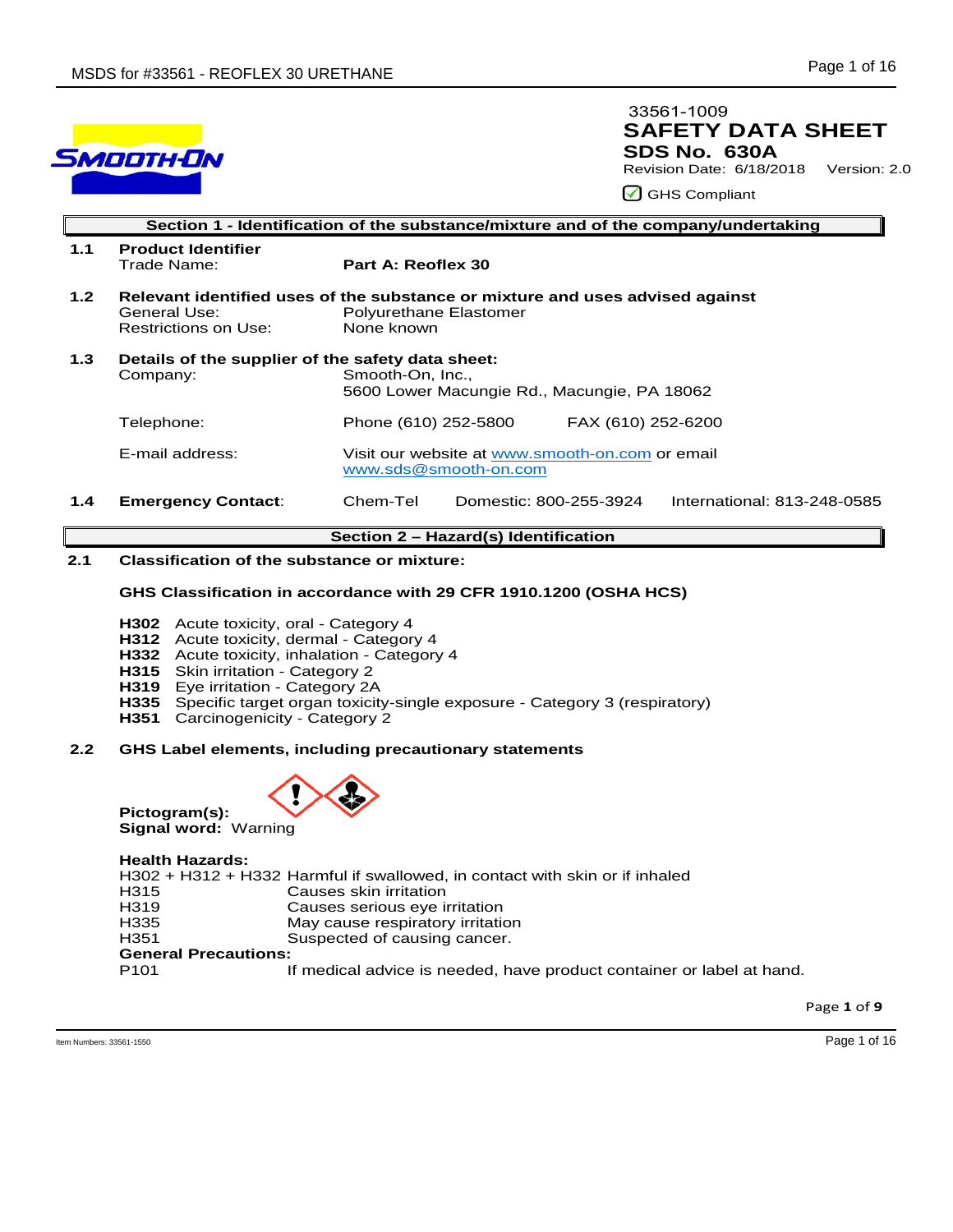

## **SAFETY DATA SHEET SDS No. 630A**  33561-1009

Revision Date: 6/18/2018 Version: 2.0

GHS Compliant

|                  | Section 1 - Identification of the substance/mixture and of the company/undertaking |                                                                                                                              |  |  |  |
|------------------|------------------------------------------------------------------------------------|------------------------------------------------------------------------------------------------------------------------------|--|--|--|
| 1.1              | <b>Product Identifier</b><br>Trade Name:                                           | Part A: Reoflex 30                                                                                                           |  |  |  |
| 1.2 <sub>2</sub> | General Use:<br>Restrictions on Use:                                               | Relevant identified uses of the substance or mixture and uses advised against<br><b>Polyurethane Elastomer</b><br>None known |  |  |  |
| 1.3              | Details of the supplier of the safety data sheet:<br>Company:                      | Smooth-On, Inc.,<br>5600 Lower Macungie Rd., Macungie, PA 18062                                                              |  |  |  |
|                  | Telephone:                                                                         | Phone (610) 252-5800<br>FAX (610) 252-6200                                                                                   |  |  |  |
|                  | E-mail address:                                                                    | Visit our website at www.smooth-on.com or email<br>www.sds@smooth-on.com                                                     |  |  |  |
| 1.4              | <b>Emergency Contact:</b>                                                          | Chem-Tel<br>Domestic: 800-255-3924<br>International: 813-248-0585                                                            |  |  |  |

### **Section 2 – Hazard(s) Identification**

### **2.1 Classification of the substance or mixture:**

### **GHS Classification in accordance with 29 CFR 1910.1200 (OSHA HCS)**

- **H302** Acute toxicity, oral Category 4
- **H312** Acute toxicity, dermal Category 4
- **H332** Acute toxicity, inhalation Category 4
- **H315** Skin irritation Category 2
- **H319** Eye irritation Category 2A
- **H335** Specific target organ toxicity-single exposure Category 3 (respiratory)
- **H351** Carcinogenicity Category 2

### **2.2 GHS Label elements, including precautionary statements**



#### **Health Hazards:**

**Pictogram(s):** 

|                             | H302 + H312 + H332 Harmful if swallowed, in contact with skin or if inhaled |
|-----------------------------|-----------------------------------------------------------------------------|
| H315                        | Causes skin irritation                                                      |
| H319                        | Causes serious eye irritation                                               |
| H335                        | May cause respiratory irritation                                            |
| H351                        | Suspected of causing cancer.                                                |
| <b>General Precautions:</b> |                                                                             |
| P101                        | If medical advice is needed, have product container or label at hand.       |
|                             |                                                                             |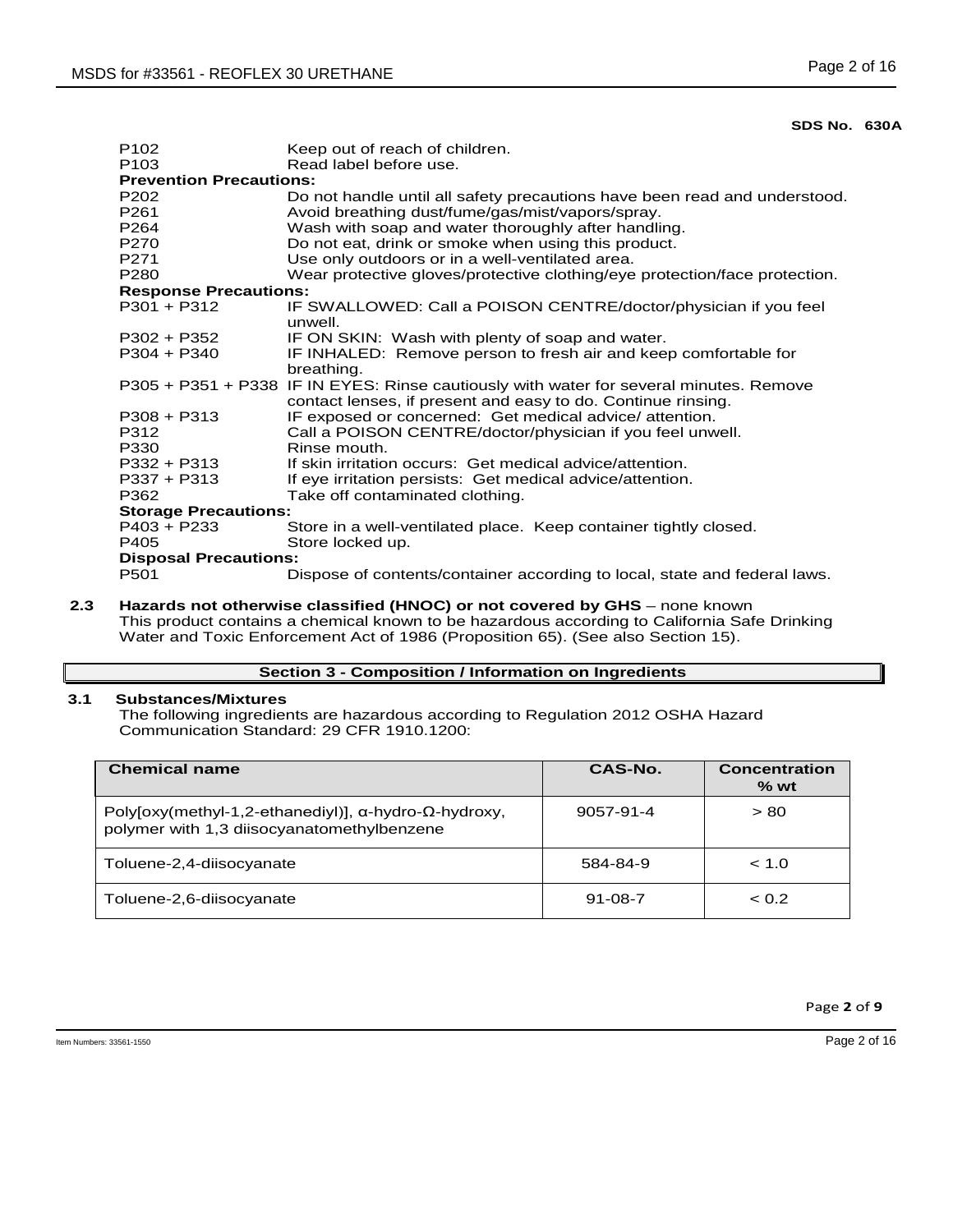| P <sub>102</sub>               | Keep out of reach of children.                                                         |  |  |  |
|--------------------------------|----------------------------------------------------------------------------------------|--|--|--|
| P <sub>103</sub>               | Read label before use.                                                                 |  |  |  |
| <b>Prevention Precautions:</b> |                                                                                        |  |  |  |
| P <sub>202</sub>               | Do not handle until all safety precautions have been read and understood.              |  |  |  |
| P <sub>261</sub>               | Avoid breathing dust/fume/gas/mist/vapors/spray.                                       |  |  |  |
| P <sub>264</sub>               | Wash with soap and water thoroughly after handling.                                    |  |  |  |
| P270                           | Do not eat, drink or smoke when using this product.                                    |  |  |  |
| P <sub>271</sub>               | Use only outdoors or in a well-ventilated area.                                        |  |  |  |
| P <sub>280</sub>               | Wear protective gloves/protective clothing/eye protection/face protection.             |  |  |  |
| <b>Response Precautions:</b>   |                                                                                        |  |  |  |
| $P301 + P312$                  | IF SWALLOWED: Call a POISON CENTRE/doctor/physician if you feel                        |  |  |  |
|                                | unwell.                                                                                |  |  |  |
| $P302 + P352$                  | IF ON SKIN: Wash with plenty of soap and water.                                        |  |  |  |
| $P304 + P340$                  | IF INHALED: Remove person to fresh air and keep comfortable for                        |  |  |  |
|                                | breathing.                                                                             |  |  |  |
|                                | P305 + P351 + P338 IF IN EYES: Rinse cautiously with water for several minutes. Remove |  |  |  |
|                                | contact lenses, if present and easy to do. Continue rinsing.                           |  |  |  |
| $P308 + P313$                  | IF exposed or concerned: Get medical advice/attention.                                 |  |  |  |
| P312                           | Call a POISON CENTRE/doctor/physician if you feel unwell.                              |  |  |  |
| P330                           | Rinse mouth.                                                                           |  |  |  |
| $P332 + P313$                  | If skin irritation occurs: Get medical advice/attention.                               |  |  |  |
| $P337 + P313$                  | If eye irritation persists: Get medical advice/attention.                              |  |  |  |
| P362                           | Take off contaminated clothing.                                                        |  |  |  |
| <b>Storage Precautions:</b>    |                                                                                        |  |  |  |
| $P403 + P233$                  | Store in a well-ventilated place. Keep container tightly closed.                       |  |  |  |
| P405                           | Store locked up.                                                                       |  |  |  |
| <b>Disposal Precautions:</b>   |                                                                                        |  |  |  |
| P501                           | Dispose of contents/container according to local, state and federal laws.              |  |  |  |
|                                |                                                                                        |  |  |  |

**2.3 Hazards not otherwise classified (HNOC) or not covered by GHS** – none known This product contains a chemical known to be hazardous according to California Safe Drinking Water and Toxic Enforcement Act of 1986 (Proposition 65). (See also Section 15).

### **Section 3 - Composition / Information on Ingredients**

### **3.1 Substances/Mixtures**

The following ingredients are hazardous according to Regulation 2012 OSHA Hazard Communication Standard: 29 CFR 1910.1200:

| <b>Chemical name</b>                                                                                                | CAS-No.       | <b>Concentration</b><br>$%$ wt |
|---------------------------------------------------------------------------------------------------------------------|---------------|--------------------------------|
| Polyloxy(methyl-1,2-ethanediyl)], $\alpha$ -hydro- $\Omega$ -hydroxy,<br>polymer with 1,3 diisocyanatomethylbenzene | 9057-91-4     | > 80                           |
| Toluene-2,4-diisocyanate                                                                                            | 584-84-9      | < 1.0                          |
| Toluene-2,6-diisocyanate                                                                                            | $91 - 08 - 7$ | < 0.2                          |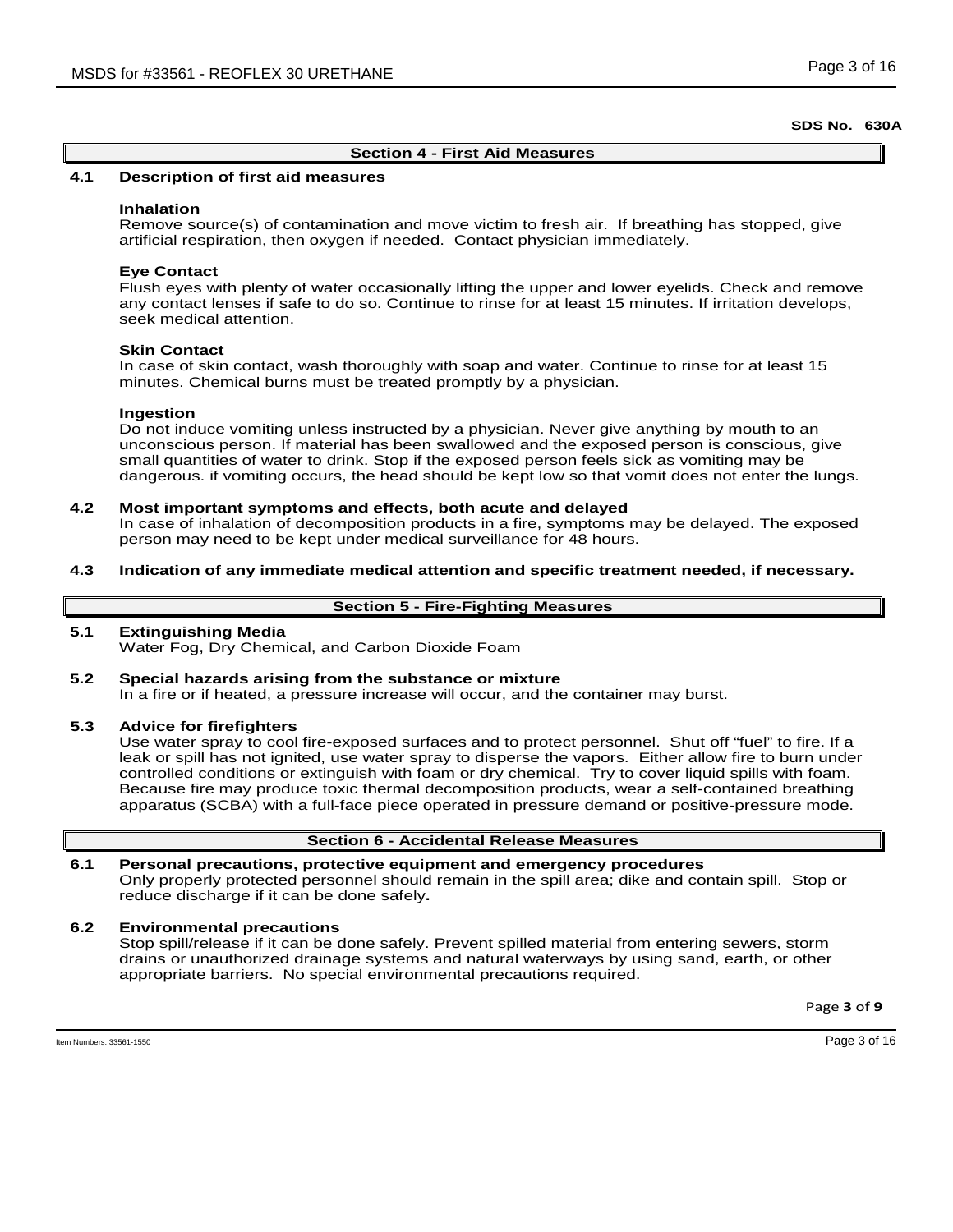#### **Section 4 - First Aid Measures**

### **4.1 Description of first aid measures**

#### **Inhalation**

Remove source(s) of contamination and move victim to fresh air. If breathing has stopped, give artificial respiration, then oxygen if needed. Contact physician immediately.

#### **Eye Contact**

Flush eyes with plenty of water occasionally lifting the upper and lower eyelids. Check and remove any contact lenses if safe to do so. Continue to rinse for at least 15 minutes. If irritation develops, seek medical attention.

### **Skin Contact**

In case of skin contact, wash thoroughly with soap and water. Continue to rinse for at least 15 minutes. Chemical burns must be treated promptly by a physician.

#### **Ingestion**

Do not induce vomiting unless instructed by a physician. Never give anything by mouth to an unconscious person. If material has been swallowed and the exposed person is conscious, give small quantities of water to drink. Stop if the exposed person feels sick as vomiting may be dangerous. if vomiting occurs, the head should be kept low so that vomit does not enter the lungs.

#### **4.2 Most important symptoms and effects, both acute and delayed**

In case of inhalation of decomposition products in a fire, symptoms may be delayed. The exposed person may need to be kept under medical surveillance for 48 hours.

**4.3 Indication of any immediate medical attention and specific treatment needed, if necessary.**

#### **Section 5 - Fire-Fighting Measures**

#### **5.1 Extinguishing Media**

Water Fog, Dry Chemical, and Carbon Dioxide Foam

**5.2 Special hazards arising from the substance or mixture** In a fire or if heated, a pressure increase will occur, and the container may burst.

#### **5.3 Advice for firefighters**

Use water spray to cool fire-exposed surfaces and to protect personnel. Shut off "fuel" to fire. If a leak or spill has not ignited, use water spray to disperse the vapors. Either allow fire to burn under controlled conditions or extinguish with foam or dry chemical. Try to cover liquid spills with foam. Because fire may produce toxic thermal decomposition products, wear a self-contained breathing apparatus (SCBA) with a full-face piece operated in pressure demand or positive-pressure mode.

### **Section 6 - Accidental Release Measures**

# **6.1 Personal precautions, protective equipment and emergency procedures**

Only properly protected personnel should remain in the spill area; dike and contain spill. Stop or reduce discharge if it can be done safely**.**

#### **6.2 Environmental precautions**

Stop spill/release if it can be done safely. Prevent spilled material from entering sewers, storm drains or unauthorized drainage systems and natural waterways by using sand, earth, or other appropriate barriers.No special environmental precautions required.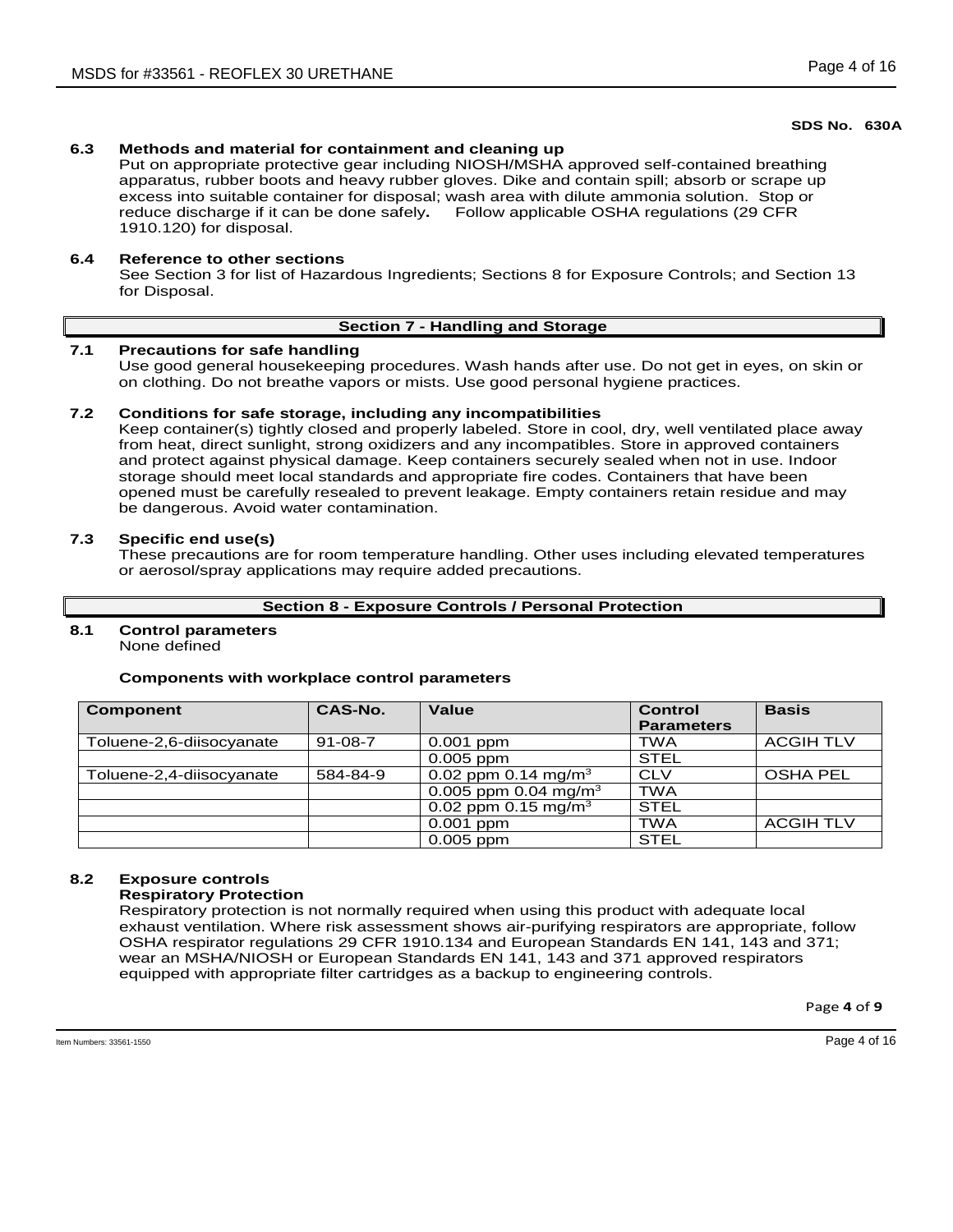## **6.3 Methods and material for containment and cleaning up**

Put on appropriate protective gear including NIOSH/MSHA approved self-contained breathing apparatus, rubber boots and heavy rubber gloves. Dike and contain spill; absorb or scrape up excess into suitable container for disposal; wash area with dilute ammonia solution. Stop or reduce discharge if it can be done safely**.** Follow applicable OSHA regulations (29 CFR 1910.120) for disposal.

### **6.4 Reference to other sections**

See Section 3 for list of Hazardous Ingredients; Sections 8 for Exposure Controls; and Section 13 for Disposal.

## **Section 7 - Handling and Storage**

### **7.1 Precautions for safe handling**

Use good general housekeeping procedures. Wash hands after use. Do not get in eyes, on skin or on clothing. Do not breathe vapors or mists. Use good personal hygiene practices.

### **7.2 Conditions for safe storage, including any incompatibilities**

Keep container(s) tightly closed and properly labeled. Store in cool, dry, well ventilated place away from heat, direct sunlight, strong oxidizers and any incompatibles. Store in approved containers and protect against physical damage. Keep containers securely sealed when not in use. Indoor storage should meet local standards and appropriate fire codes. Containers that have been opened must be carefully resealed to prevent leakage. Empty containers retain residue and may be dangerous. Avoid water contamination.

### **7.3 Specific end use(s)**

These precautions are for room temperature handling. Other uses including elevated temperatures or aerosol/spray applications may require added precautions.

### **Section 8 - Exposure Controls / Personal Protection**

# **8.1 Control parameters**

None defined

### **Components with workplace control parameters**

| <b>Component</b>         | CAS-No.       | Value                            | <b>Control</b><br><b>Parameters</b> | <b>Basis</b>     |
|--------------------------|---------------|----------------------------------|-------------------------------------|------------------|
| Toluene-2,6-diisocyanate | $91 - 08 - 7$ | $0.001$ ppm                      | TWA                                 | <b>ACGIH TLV</b> |
|                          |               | $0.005$ ppm                      | <b>STEL</b>                         |                  |
| Toluene-2,4-diisocyanate | 584-84-9      | 0.02 ppm 0.14 mg/m <sup>3</sup>  | <b>CLV</b>                          | <b>OSHA PEL</b>  |
|                          |               | 0.005 ppm 0.04 mg/m <sup>3</sup> | <b>TWA</b>                          |                  |
|                          |               | 0.02 ppm 0.15 mg/m <sup>3</sup>  | <b>STEL</b>                         |                  |
|                          |               | $0.001$ ppm                      | <b>TWA</b>                          | <b>ACGIH TLV</b> |
|                          |               | $0.005$ ppm                      | <b>STEL</b>                         |                  |

## **8.2 Exposure controls**

### **Respiratory Protection**

Respiratory protection is not normally required when using this product with adequate local exhaust ventilation. Where risk assessment shows air-purifying respirators are appropriate, follow OSHA respirator regulations 29 CFR 1910.134 and European Standards EN 141, 143 and 371; wear an MSHA/NIOSH or European Standards EN 141, 143 and 371 approved respirators equipped with appropriate filter cartridges as a backup to engineering controls.

Page **4** of **9**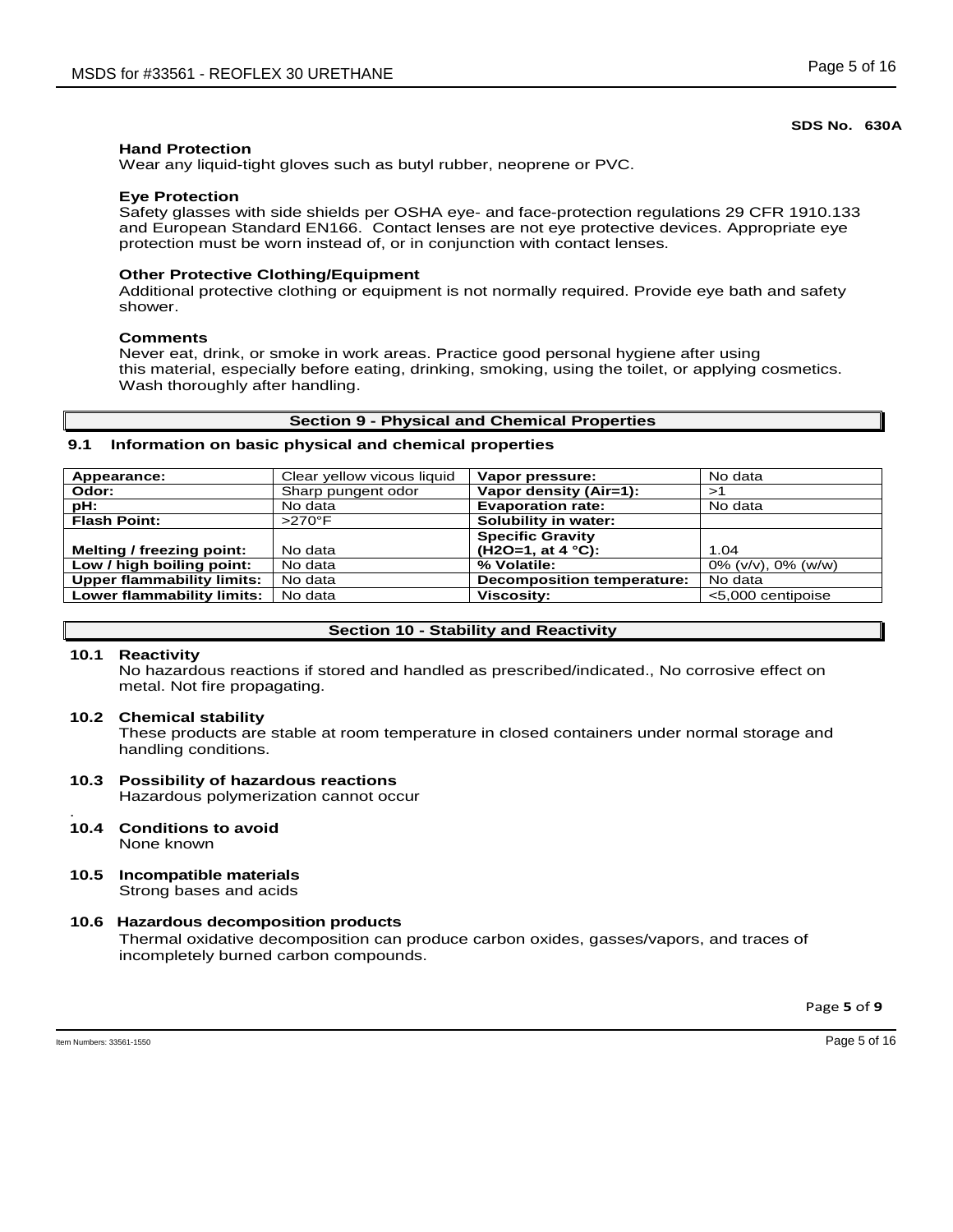### **Hand Protection**

Wear any liquid-tight gloves such as butyl rubber, neoprene or PVC.

#### **Eye Protection**

Safety glasses with side shields per OSHA eye- and face-protection regulations 29 CFR 1910.133 and European Standard EN166. Contact lenses are not eye protective devices. Appropriate eye protection must be worn instead of, or in conjunction with contact lenses.

### **Other Protective Clothing/Equipment**

Additional protective clothing or equipment is not normally required. Provide eye bath and safety shower.

#### **Comments**

Never eat, drink, or smoke in work areas. Practice good personal hygiene after using this material, especially before eating, drinking, smoking, using the toilet, or applying cosmetics. Wash thoroughly after handling.

#### **Section 9 - Physical and Chemical Properties**

### **9.1 Information on basic physical and chemical properties**

| Appearance:                       | Clear yellow vicous liquid | Vapor pressure:                   | No data                  |
|-----------------------------------|----------------------------|-----------------------------------|--------------------------|
| Odor:                             | Sharp pungent odor         | Vapor density (Air=1):            | >1                       |
| pH:                               | No data                    | <b>Evaporation rate:</b>          | No data                  |
| <b>Flash Point:</b>               | $>270^\circ F$             | Solubility in water:              |                          |
|                                   |                            | <b>Specific Gravity</b>           |                          |
| Melting / freezing point:         | No data                    | $(H2O=1, at 4 °C):$               | 1.04                     |
| Low / high boiling point:         | No data                    | % Volatile:                       | $0\%$ (v/v), $0\%$ (w/w) |
| <b>Upper flammability limits:</b> | No data                    | <b>Decomposition temperature:</b> | No data                  |
| Lower flammability limits:        | No data                    | <b>Viscosity:</b>                 | <5,000 centipoise        |

#### **Section 10 - Stability and Reactivity**

### **10.1 Reactivity**

No hazardous reactions if stored and handled as prescribed/indicated., No corrosive effect on metal. Not fire propagating.

#### **10.2 Chemical stability**

These products are stable at room temperature in closed containers under normal storage and handling conditions.

### **10.3 Possibility of hazardous reactions** Hazardous polymerization cannot occur

- . **10.4 Conditions to avoid** None known
- **10.5 Incompatible materials** Strong bases and acids

### **10.6 Hazardous decomposition products**

Thermal oxidative decomposition can produce carbon oxides, gasses/vapors, and traces of incompletely burned carbon compounds.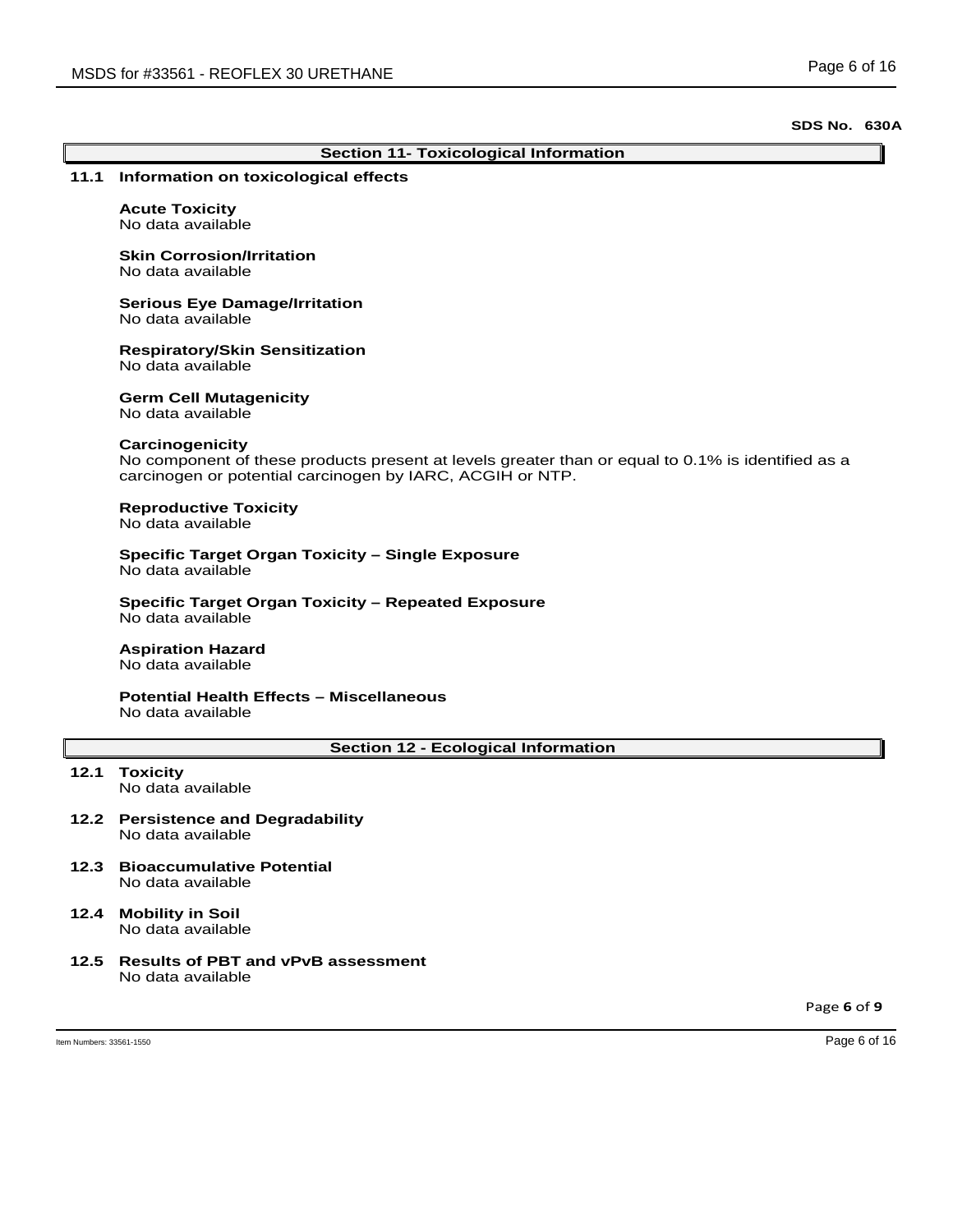|                          | <b>Section 11- Toxicological Information</b>                                                                                                                                      |  |  |  |
|--------------------------|-----------------------------------------------------------------------------------------------------------------------------------------------------------------------------------|--|--|--|
| 11.1                     | Information on toxicological effects                                                                                                                                              |  |  |  |
|                          | <b>Acute Toxicity</b><br>No data available                                                                                                                                        |  |  |  |
|                          | <b>Skin Corrosion/Irritation</b><br>No data available                                                                                                                             |  |  |  |
|                          | <b>Serious Eye Damage/Irritation</b><br>No data available                                                                                                                         |  |  |  |
|                          | <b>Respiratory/Skin Sensitization</b><br>No data available                                                                                                                        |  |  |  |
|                          | <b>Germ Cell Mutagenicity</b><br>No data available                                                                                                                                |  |  |  |
|                          | Carcinogenicity<br>No component of these products present at levels greater than or equal to 0.1% is identified as a<br>carcinogen or potential carcinogen by IARC, ACGIH or NTP. |  |  |  |
|                          | <b>Reproductive Toxicity</b><br>No data available                                                                                                                                 |  |  |  |
|                          | Specific Target Organ Toxicity - Single Exposure<br>No data available                                                                                                             |  |  |  |
|                          | <b>Specific Target Organ Toxicity - Repeated Exposure</b><br>No data available                                                                                                    |  |  |  |
|                          | <b>Aspiration Hazard</b><br>No data available                                                                                                                                     |  |  |  |
|                          | <b>Potential Health Effects - Miscellaneous</b><br>No data available                                                                                                              |  |  |  |
|                          | <b>Section 12 - Ecological Information</b>                                                                                                                                        |  |  |  |
| 12.1                     | <b>Toxicity</b><br>No data available                                                                                                                                              |  |  |  |
| 12.2                     | <b>Persistence and Degradability</b><br>No data available                                                                                                                         |  |  |  |
| 12.3                     | <b>Bioaccumulative Potential</b><br>No data available                                                                                                                             |  |  |  |
| 12.4                     | <b>Mobility in Soil</b><br>No data available                                                                                                                                      |  |  |  |
| 12.5                     | <b>Results of PBT and vPvB assessment</b><br>No data available                                                                                                                    |  |  |  |
|                          | Page 6 of 9                                                                                                                                                                       |  |  |  |
| Item Numbers: 33561-1550 | Page 6 of 16                                                                                                                                                                      |  |  |  |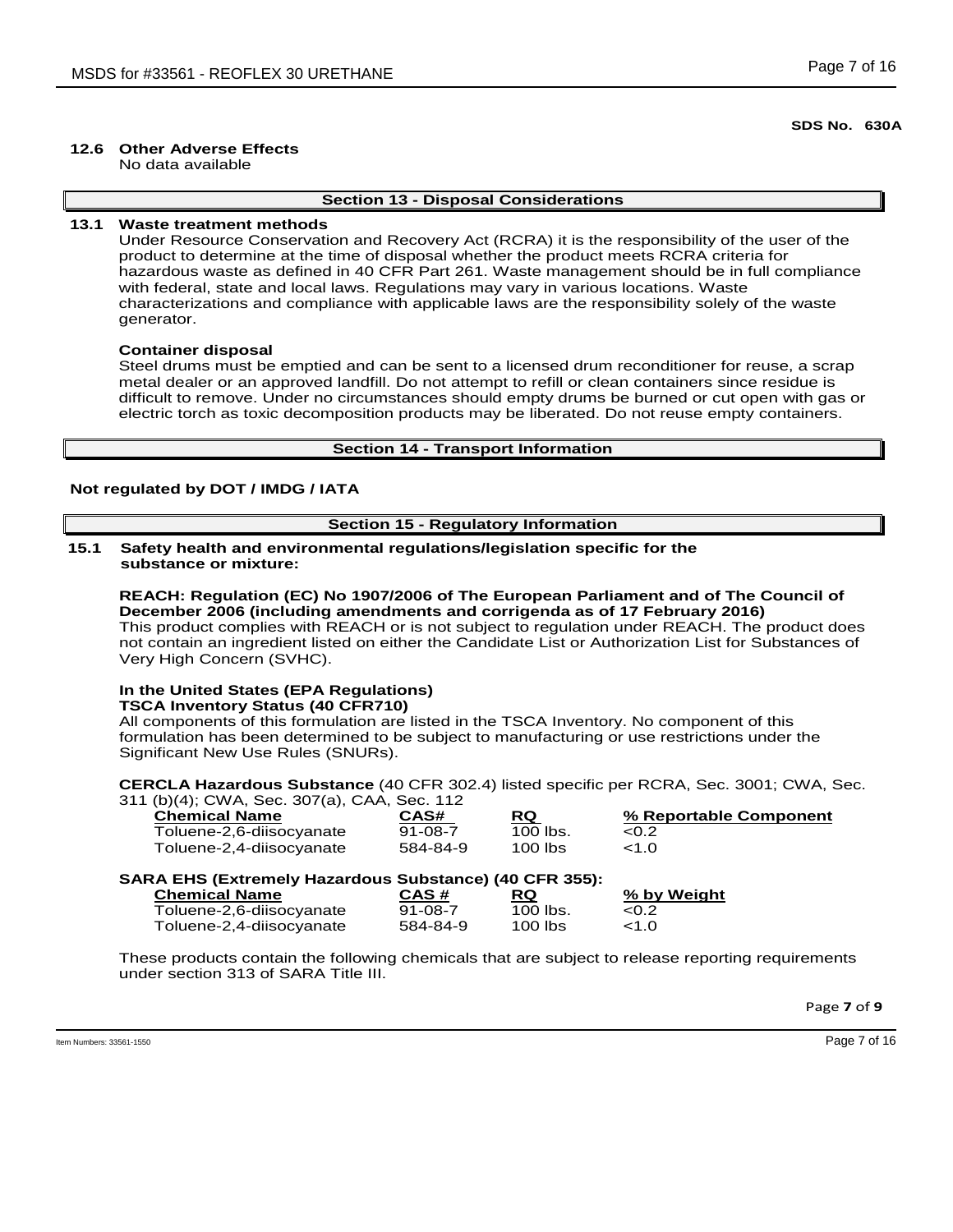### **12.6 Other Adverse Effects**

No data available

## **Section 13 - Disposal Considerations**

### **13.1 Waste treatment methods**

Under Resource Conservation and Recovery Act (RCRA) it is the responsibility of the user of the product to determine at the time of disposal whether the product meets RCRA criteria for hazardous waste as defined in 40 CFR Part 261. Waste management should be in full compliance with federal, state and local laws. Regulations may vary in various locations. Waste characterizations and compliance with applicable laws are the responsibility solely of the waste generator.

### **Container disposal**

Steel drums must be emptied and can be sent to a licensed drum reconditioner for reuse, a scrap metal dealer or an approved landfill. Do not attempt to refill or clean containers since residue is difficult to remove. Under no circumstances should empty drums be burned or cut open with gas or electric torch as toxic decomposition products may be liberated. Do not reuse empty containers.

### **Section 14 - Transport Information**

### **Not regulated by DOT / IMDG / IATA**

### **Section 15 - Regulatory Information**

**15.1 Safety health and environmental regulations/legislation specific for the substance or mixture:**

**REACH: Regulation (EC) No 1907/2006 of The European Parliament and of The Council of December 2006 (including amendments and corrigenda as of 17 February 2016)** This product complies with REACH or is not subject to regulation under REACH. The product does not contain an ingredient listed on either the Candidate List or Authorization List for Substances of Very High Concern (SVHC).

#### **In the United States (EPA Regulations) TSCA Inventory Status (40 CFR710)**

All components of this formulation are listed in the TSCA Inventory. No component of this formulation has been determined to be subject to manufacturing or use restrictions under the Significant New Use Rules (SNURs).

**CERCLA Hazardous Substance** (40 CFR 302.4) listed specific per RCRA, Sec. 3001; CWA, Sec. 311 (b)(4); CWA, Sec. 307(a), CAA, Sec. 112

| $\cdots$<br><b>Chemical Name</b> | CAS#          | RQ         | % Reportable Component |
|----------------------------------|---------------|------------|------------------------|
| Toluene-2,6-diisocyanate         | $91 - 08 - 7$ | $100$ lbs. | <0.2                   |
| Toluene-2,4-diisocyanate         | 584-84-9      | 100 lbs    | <1.0                   |

| <b>SARA EHS (Extremely Hazardous Substance) (40 CFR 355):</b> |               |            |             |
|---------------------------------------------------------------|---------------|------------|-------------|
| <b>Chemical Name</b>                                          | CAS #         | RQ.        | % by Weight |
| Toluene-2,6-diisocyanate                                      | $91 - 08 - 7$ | $100$ lbs. | <0.2        |
| Toluene-2,4-diisocyanate                                      | 584-84-9      | $100$ lbs  | < 1.0       |

These products contain the following chemicals that are subject to release reporting requirements under section 313 of SARA Title III.

Page **7** of **9**

Item Numbers: 33561-1550 Page 7 of 16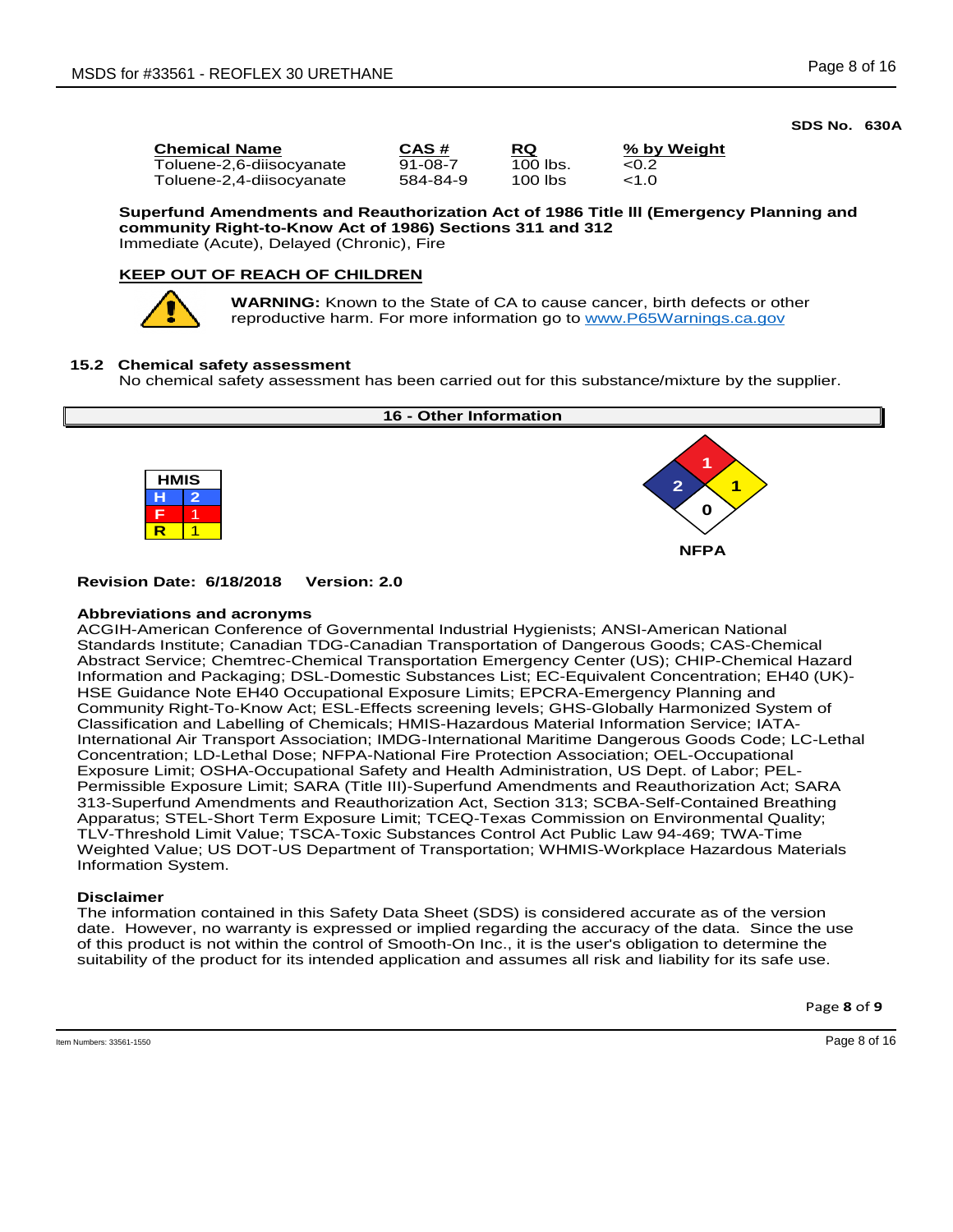Toluene-2,6-diisocyanate 91-08-7 100 lbs. <0.2 Toluene-2,4-diisocyanate

**Chemical Name CAS # RQ % by Weight**

**Superfund Amendments and Reauthorization Act of 1986 Title lll (Emergency Planning and community Right-to-Know Act of 1986) Sections 311 and 312** Immediate (Acute), Delayed (Chronic), Fire

## **KEEP OUT OF REACH OF CHILDREN**



**WARNING:** Known to the State of CA to cause cancer, birth defects or other reproductive harm. For more information go to www.P65Warnings.ca.gov

## **15.2 Chemical safety assessment**

No chemical safety assessment has been carried out for this substance/mixture by the supplier.



### **Revision Date: 6/18/2018 Version: 2.0**

### **Abbreviations and acronyms**

ACGIH-American Conference of Governmental Industrial Hygienists; ANSI-American National Standards Institute; Canadian TDG-Canadian Transportation of Dangerous Goods; CAS-Chemical Abstract Service; Chemtrec-Chemical Transportation Emergency Center (US); CHIP-Chemical Hazard Information and Packaging; DSL-Domestic Substances List; EC-Equivalent Concentration; EH40 (UK)- HSE Guidance Note EH40 Occupational Exposure Limits; EPCRA-Emergency Planning and Community Right-To-Know Act; ESL-Effects screening levels; GHS-Globally Harmonized System of Classification and Labelling of Chemicals; HMIS-Hazardous Material Information Service; IATA-International Air Transport Association; IMDG-International Maritime Dangerous Goods Code; LC-Lethal Concentration; LD-Lethal Dose; NFPA-National Fire Protection Association; OEL-Occupational Exposure Limit; OSHA-Occupational Safety and Health Administration, US Dept. of Labor; PEL-Permissible Exposure Limit; SARA (Title III)-Superfund Amendments and Reauthorization Act; SARA 313-Superfund Amendments and Reauthorization Act, Section 313; SCBA-Self-Contained Breathing Apparatus; STEL-Short Term Exposure Limit; TCEQ-Texas Commission on Environmental Quality; TLV-Threshold Limit Value; TSCA-Toxic Substances Control Act Public Law 94-469; TWA-Time Weighted Value; US DOT-US Department of Transportation; WHMIS-Workplace Hazardous Materials Information System.

### **Disclaimer**

The information contained in this Safety Data Sheet (SDS) is considered accurate as of the version date. However, no warranty is expressed or implied regarding the accuracy of the data. Since the use of this product is not within the control of Smooth-On Inc., it is the user's obligation to determine the suitability of the product for its intended application and assumes all risk and liability for its safe use.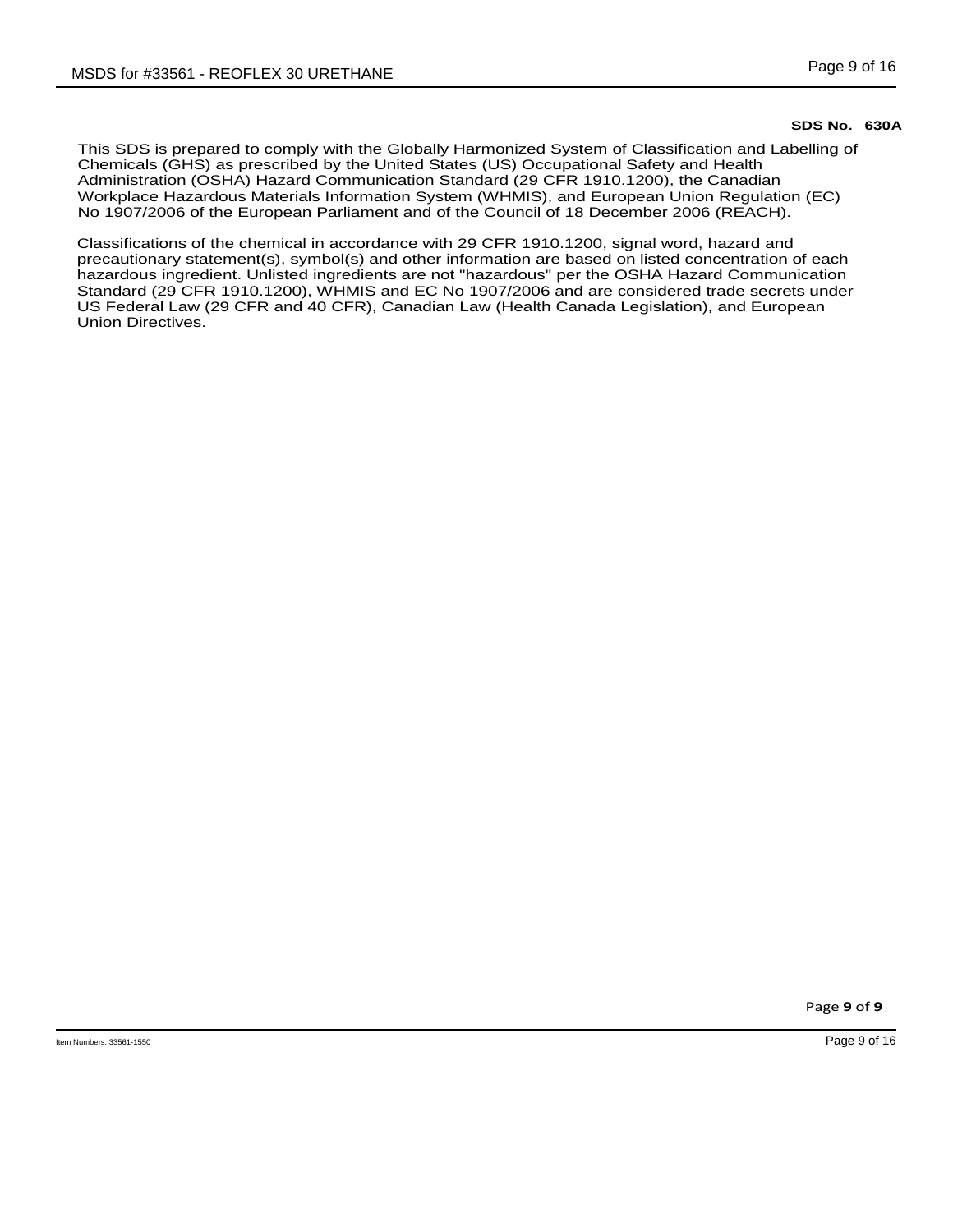This SDS is prepared to comply with the Globally Harmonized System of Classification and Labelling of Chemicals (GHS) as prescribed by the United States (US) Occupational Safety and Health Administration (OSHA) Hazard Communication Standard (29 CFR 1910.1200), the Canadian Workplace Hazardous Materials Information System (WHMIS), and European Union Regulation (EC) No 1907/2006 of the European Parliament and of the Council of 18 December 2006 (REACH).

Classifications of the chemical in accordance with 29 CFR 1910.1200, signal word, hazard and precautionary statement(s), symbol(s) and other information are based on listed concentration of each hazardous ingredient. Unlisted ingredients are not "hazardous" per the OSHA Hazard Communication Standard (29 CFR 1910.1200), WHMIS and EC No 1907/2006 and are considered trade secrets under US Federal Law (29 CFR and 40 CFR), Canadian Law (Health Canada Legislation), and European Union Directives.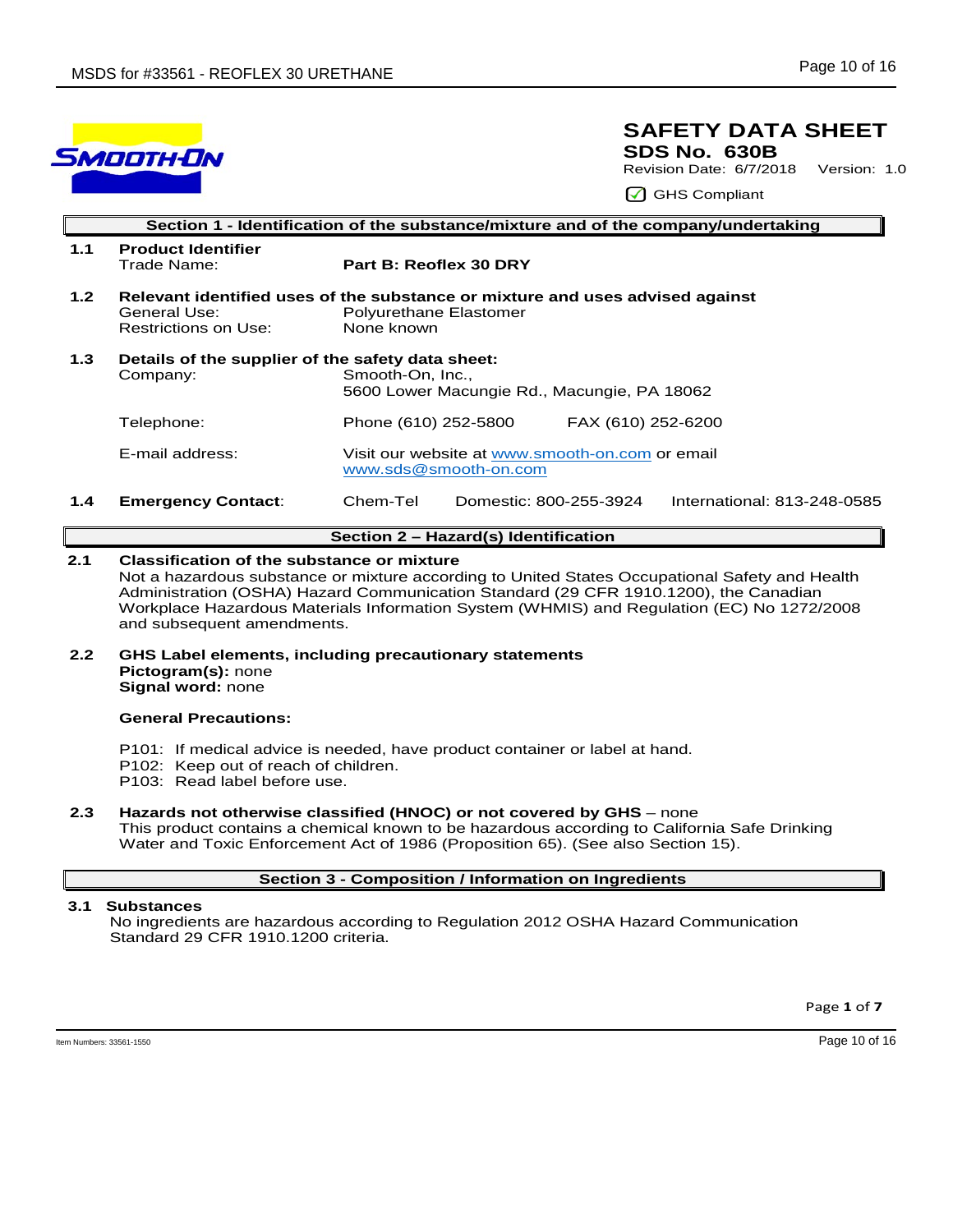

## **SAFETY DATA SHEET SDS No. 630B**

Revision Date: 6/7/2018 Version: 1.0

GHS Compliant

|                  | Section 1 - Identification of the substance/mixture and of the company/undertaking |                                                                                                                       |  |  |  |
|------------------|------------------------------------------------------------------------------------|-----------------------------------------------------------------------------------------------------------------------|--|--|--|
| 1.1              | <b>Product Identifier</b><br>Trade Name:                                           | Part B: Reoflex 30 DRY                                                                                                |  |  |  |
| 1.2 <sub>2</sub> | General Use:<br>Restrictions on Use:                                               | Relevant identified uses of the substance or mixture and uses advised against<br>Polyurethane Elastomer<br>None known |  |  |  |
| 1.3              | Details of the supplier of the safety data sheet:<br>Company:                      | Smooth-On, Inc.,<br>5600 Lower Macungie Rd., Macungie, PA 18062                                                       |  |  |  |
|                  | Telephone:                                                                         | FAX (610) 252-6200<br>Phone (610) 252-5800                                                                            |  |  |  |
|                  | E-mail address:                                                                    | Visit our website at www.smooth-on.com or email<br>www.sds@smooth-on.com                                              |  |  |  |
| 1.4              | <b>Emergency Contact:</b>                                                          | Chem-Tel<br>International: 813-248-0585<br>Domestic: 800-255-3924                                                     |  |  |  |

# **Section 2 – Hazard(s) Identification**

### **2.1 Classification of the substance or mixture**

Not a hazardous substance or mixture according to United States Occupational Safety and Health Administration (OSHA) Hazard Communication Standard (29 CFR 1910.1200), the Canadian Workplace Hazardous Materials Information System (WHMIS) and Regulation (EC) No 1272/2008 and subsequent amendments.

**2.2 GHS Label elements, including precautionary statements Pictogram(s):** none **Signal word:** none

### **General Precautions:**

- P101: If medical advice is needed, have product container or label at hand.
- P102: Keep out of reach of children.
- P103: Read label before use.
- **2.3 Hazards not otherwise classified (HNOC) or not covered by GHS** none This product contains a chemical known to be hazardous according to California Safe Drinking Water and Toxic Enforcement Act of 1986 (Proposition 65). (See also Section 15).

### **Section 3 - Composition / Information on Ingredients**

### **3.1 Substances**

 No ingredients are hazardous according to Regulation 2012 OSHA Hazard Communication Standard 29 CFR 1910.1200 criteria.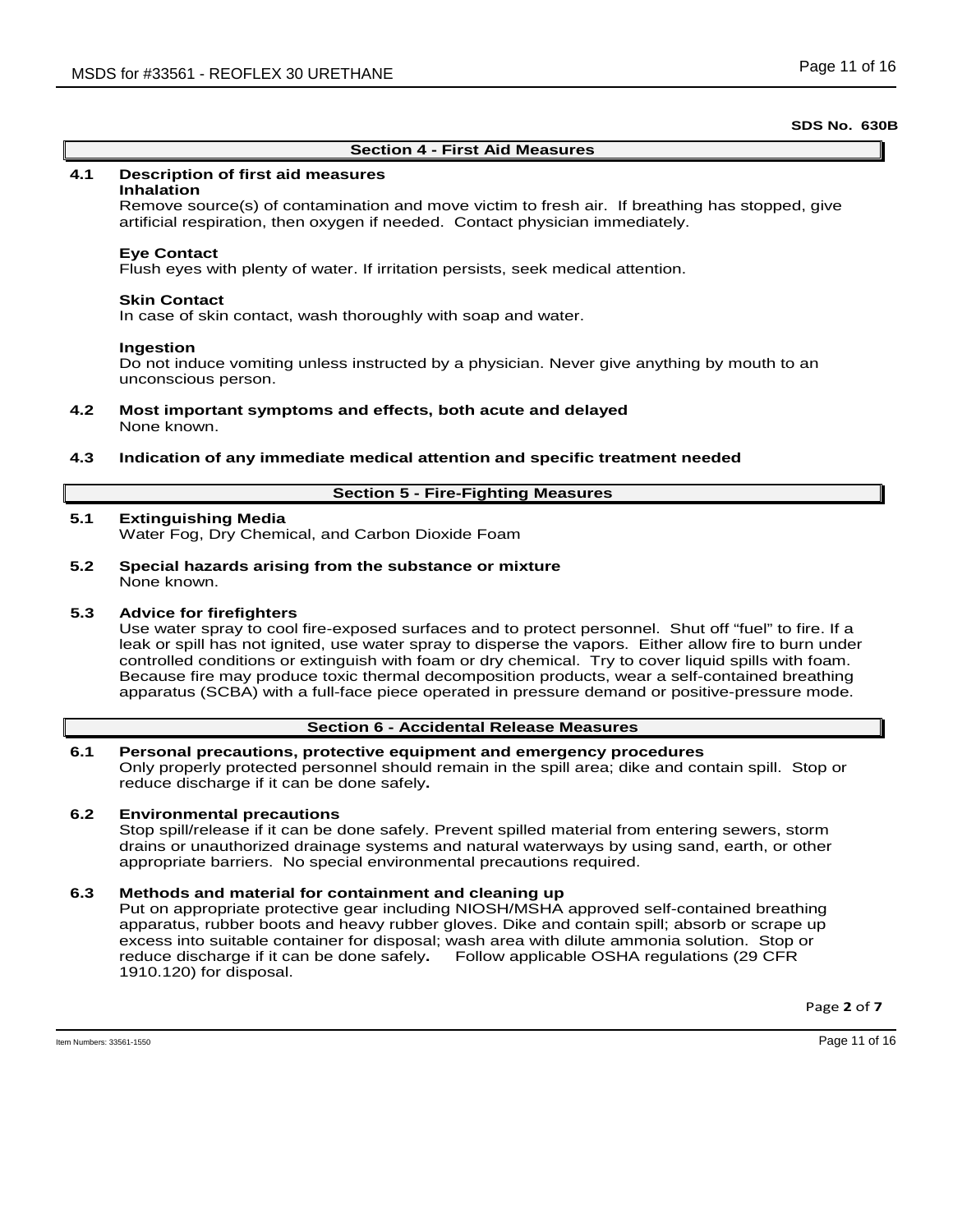### **Section 4 - First Aid Measures**

### **4.1 Description of first aid measures**

#### **Inhalation**

Remove source(s) of contamination and move victim to fresh air. If breathing has stopped, give artificial respiration, then oxygen if needed. Contact physician immediately.

#### **Eye Contact**

Flush eyes with plenty of water. If irritation persists, seek medical attention.

#### **Skin Contact**

In case of skin contact, wash thoroughly with soap and water.

#### **Ingestion**

Do not induce vomiting unless instructed by a physician. Never give anything by mouth to an unconscious person.

**4.2 Most important symptoms and effects, both acute and delayed** None known.

#### **4.3 Indication of any immediate medical attention and specific treatment needed**

### **Section 5 - Fire-Fighting Measures**

### **5.1 Extinguishing Media**

Water Fog, Dry Chemical, and Carbon Dioxide Foam

**5.2 Special hazards arising from the substance or mixture** None known.

#### **5.3 Advice for firefighters**

Use water spray to cool fire-exposed surfaces and to protect personnel. Shut off "fuel" to fire. If a leak or spill has not ignited, use water spray to disperse the vapors. Either allow fire to burn under controlled conditions or extinguish with foam or dry chemical. Try to cover liquid spills with foam. Because fire may produce toxic thermal decomposition products, wear a self-contained breathing apparatus (SCBA) with a full-face piece operated in pressure demand or positive-pressure mode.

### **Section 6 - Accidental Release Measures**

#### **6.1 Personal precautions, protective equipment and emergency procedures**

Only properly protected personnel should remain in the spill area; dike and contain spill. Stop or reduce discharge if it can be done safely**.**

### **6.2 Environmental precautions**

Stop spill/release if it can be done safely. Prevent spilled material from entering sewers, storm drains or unauthorized drainage systems and natural waterways by using sand, earth, or other appropriate barriers.No special environmental precautions required.

#### **6.3 Methods and material for containment and cleaning up**

Put on appropriate protective gear including NIOSH/MSHA approved self-contained breathing apparatus, rubber boots and heavy rubber gloves. Dike and contain spill; absorb or scrape up excess into suitable container for disposal; wash area with dilute ammonia solution. Stop or reduce discharge if it can be done safely**.** Follow applicable OSHA regulations (29 CFR 1910.120) for disposal.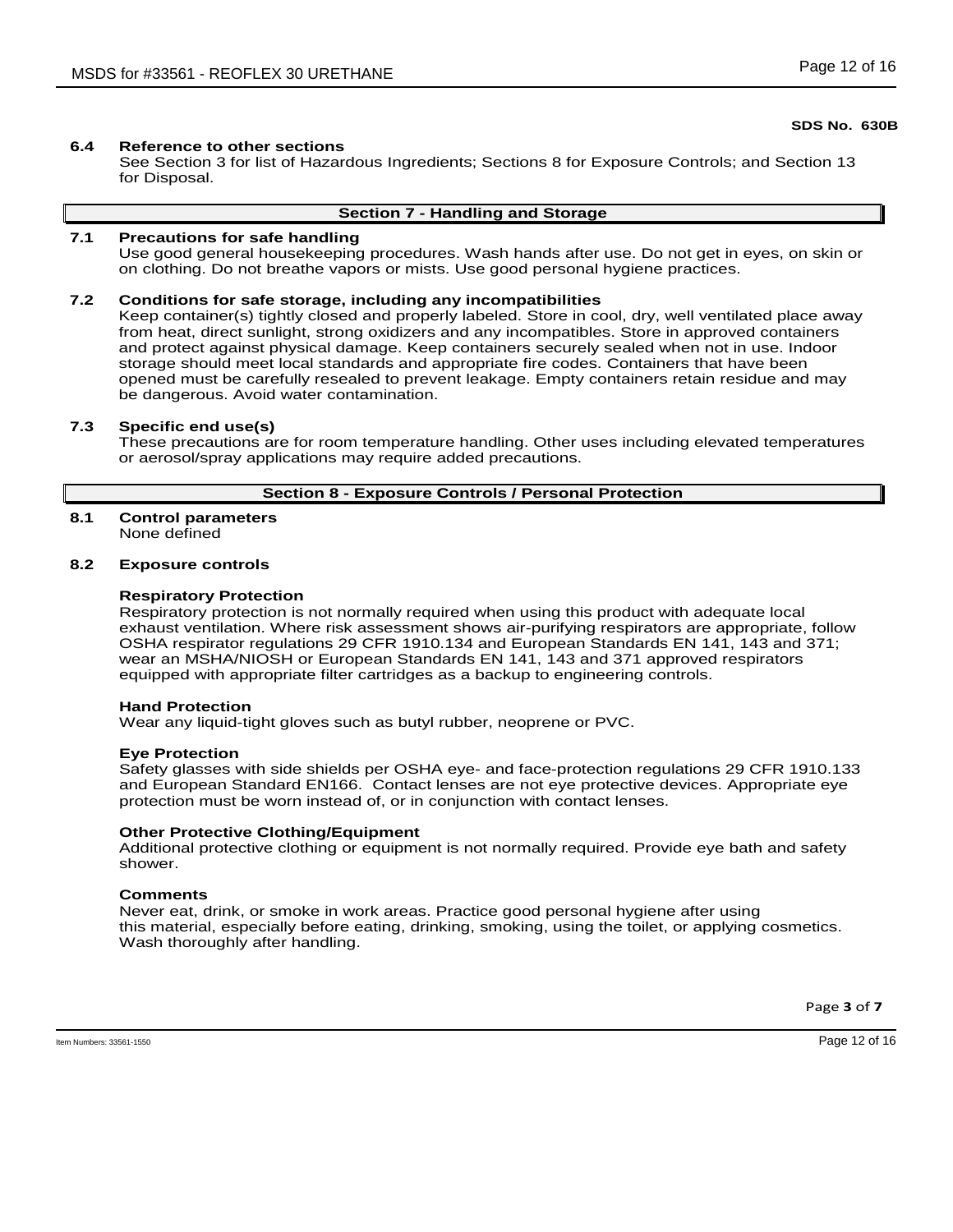### **6.4 Reference to other sections**

See Section 3 for list of Hazardous Ingredients; Sections 8 for Exposure Controls; and Section 13 for Disposal.

### **Section 7 - Handling and Storage**

### **7.1 Precautions for safe handling**

Use good general housekeeping procedures. Wash hands after use. Do not get in eyes, on skin or on clothing. Do not breathe vapors or mists. Use good personal hygiene practices.

### **7.2 Conditions for safe storage, including any incompatibilities**

Keep container(s) tightly closed and properly labeled. Store in cool, dry, well ventilated place away from heat, direct sunlight, strong oxidizers and any incompatibles. Store in approved containers and protect against physical damage. Keep containers securely sealed when not in use. Indoor storage should meet local standards and appropriate fire codes. Containers that have been opened must be carefully resealed to prevent leakage. Empty containers retain residue and may be dangerous. Avoid water contamination.

### **7.3 Specific end use(s)**

These precautions are for room temperature handling. Other uses including elevated temperatures or aerosol/spray applications may require added precautions.

### **Section 8 - Exposure Controls / Personal Protection**

### **8.1 Control parameters**

None defined

## **8.2 Exposure controls**

### **Respiratory Protection**

Respiratory protection is not normally required when using this product with adequate local exhaust ventilation. Where risk assessment shows air-purifying respirators are appropriate, follow OSHA respirator regulations 29 CFR 1910.134 and European Standards EN 141, 143 and 371; wear an MSHA/NIOSH or European Standards EN 141, 143 and 371 approved respirators equipped with appropriate filter cartridges as a backup to engineering controls.

#### **Hand Protection**

Wear any liquid-tight gloves such as butyl rubber, neoprene or PVC.

#### **Eye Protection**

Safety glasses with side shields per OSHA eye- and face-protection regulations 29 CFR 1910.133 and European Standard EN166. Contact lenses are not eye protective devices. Appropriate eye protection must be worn instead of, or in conjunction with contact lenses.

#### **Other Protective Clothing/Equipment**

Additional protective clothing or equipment is not normally required. Provide eye bath and safety shower.

#### **Comments**

Never eat, drink, or smoke in work areas. Practice good personal hygiene after using this material, especially before eating, drinking, smoking, using the toilet, or applying cosmetics. Wash thoroughly after handling.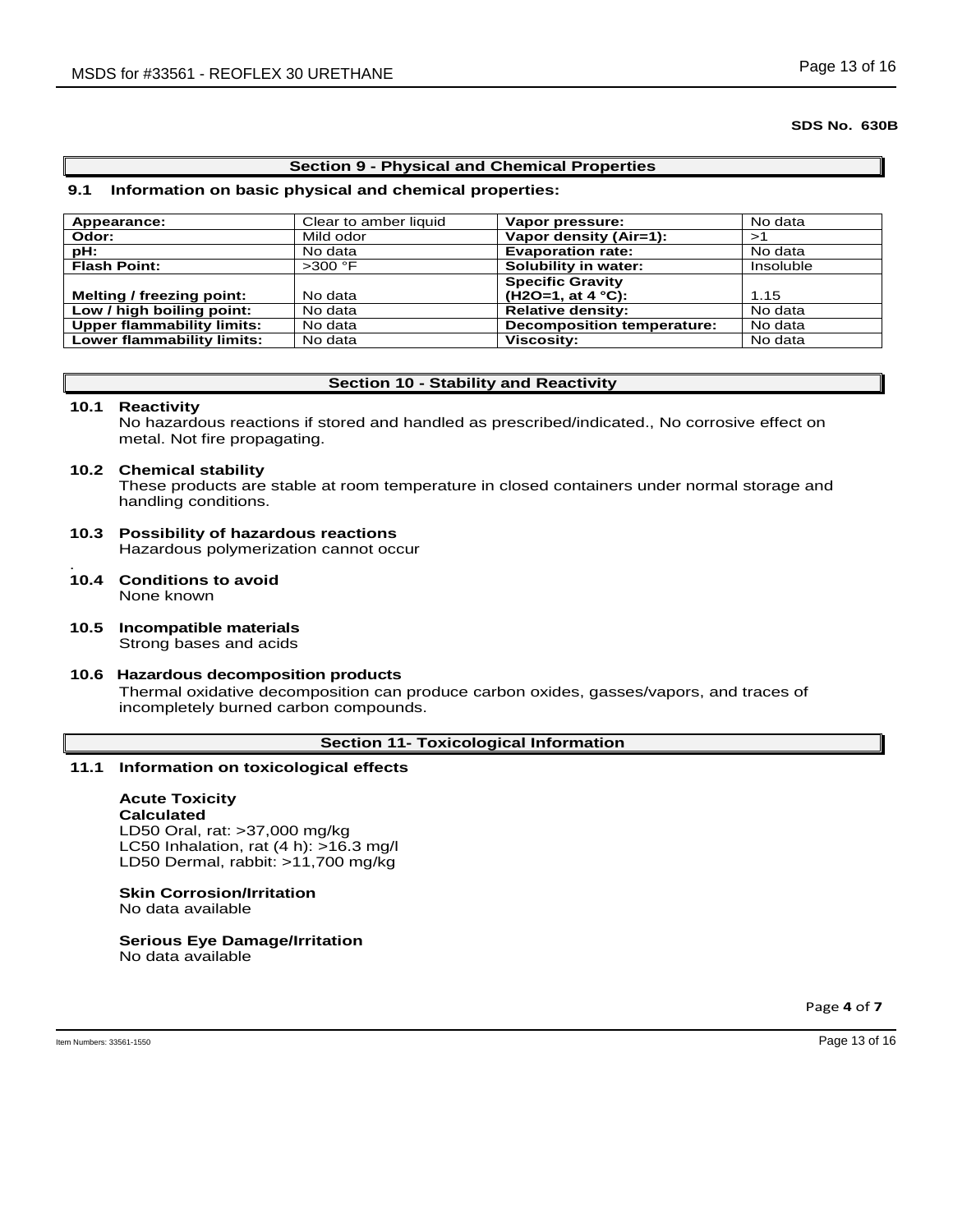#### **Section 9 - Physical and Chemical Properties**

#### **9.1 Information on basic physical and chemical properties:**

| Appearance:                       | Clear to amber liquid | Vapor pressure:                   | No data   |
|-----------------------------------|-----------------------|-----------------------------------|-----------|
| Odor:                             | Mild odor             | Vapor density (Air=1):            | >1        |
| pH:                               | No data               | <b>Evaporation rate:</b>          | No data   |
| <b>Flash Point:</b>               | $>300$ °F             | Solubility in water:              | Insoluble |
|                                   |                       | <b>Specific Gravity</b>           |           |
| Melting / freezing point:         | No data               | $(H2O=1, at 4 °C):$               | 1.15      |
| Low / high boiling point:         | No data               | <b>Relative density:</b>          | No data   |
| <b>Upper flammability limits:</b> | No data               | <b>Decomposition temperature:</b> | No data   |
| <b>Lower flammability limits:</b> | No data               | <b>Viscosity:</b>                 | No data   |

### **Section 10 - Stability and Reactivity**

#### **10.1 Reactivity**

No hazardous reactions if stored and handled as prescribed/indicated., No corrosive effect on metal. Not fire propagating.

#### **10.2 Chemical stability**

These products are stable at room temperature in closed containers under normal storage and handling conditions.

#### **10.3 Possibility of hazardous reactions** Hazardous polymerization cannot occur .

- **10.4 Conditions to avoid** None known
- **10.5 Incompatible materials** Strong bases and acids

## **10.6 Hazardous decomposition products** Thermal oxidative decomposition can produce carbon oxides, gasses/vapors, and traces of incompletely burned carbon compounds.

## **Section 11- Toxicological Information**

### **11.1 Information on toxicological effects**

## **Acute Toxicity**

**Calculated** LD50 Oral, rat: >37,000 mg/kg LC50 Inhalation, rat (4 h): >16.3 mg/l LD50 Dermal, rabbit: >11,700 mg/kg

### **Skin Corrosion/Irritation**

No data available

# **Serious Eye Damage/Irritation**

No data available

Page **4** of **7**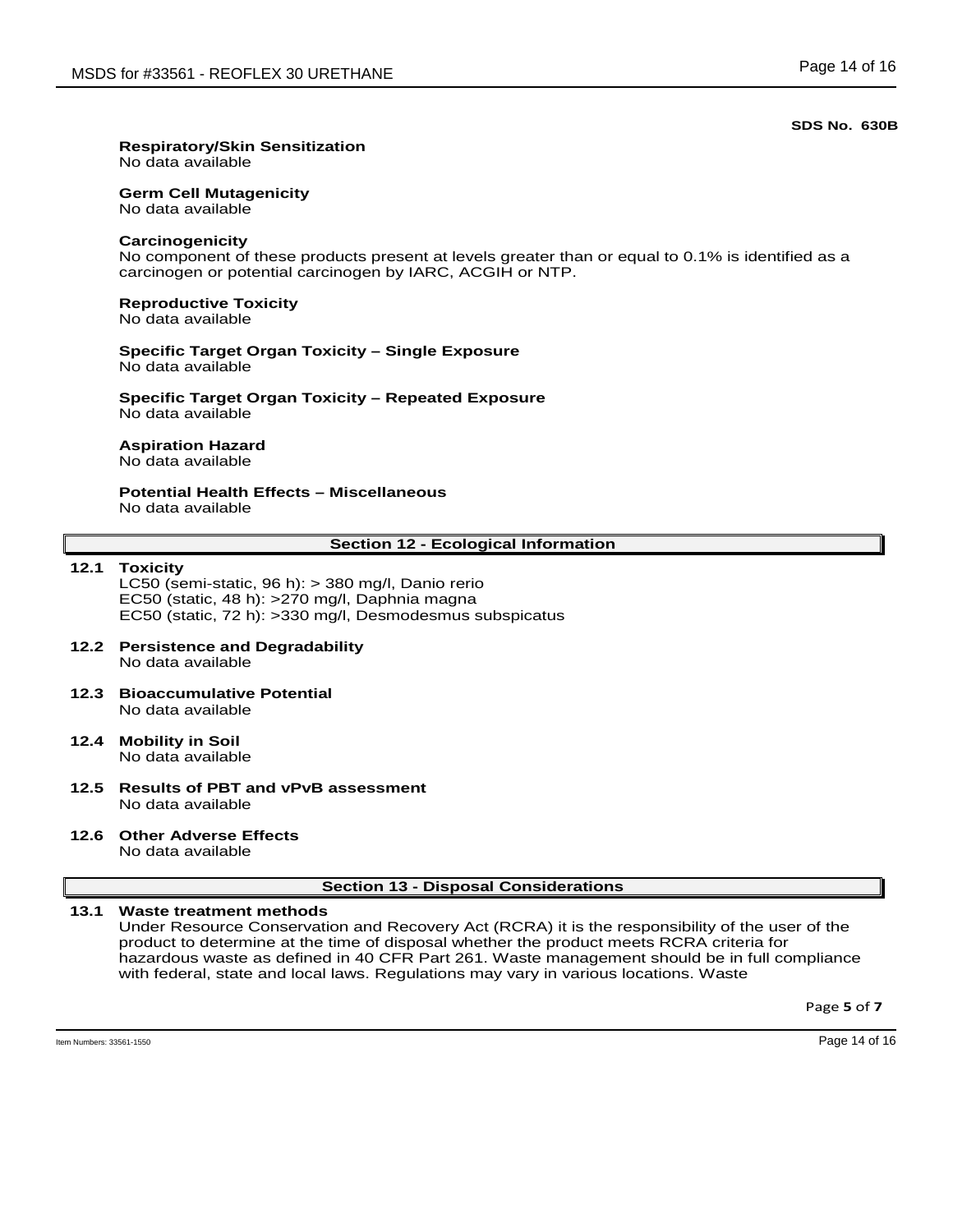### **Respiratory/Skin Sensitization**

No data available

#### **Germ Cell Mutagenicity**

No data available

#### **Carcinogenicity**

No component of these products present at levels greater than or equal to 0.1% is identified as a carcinogen or potential carcinogen by IARC, ACGIH or NTP.

## **Reproductive Toxicity**

No data available

#### **Specific Target Organ Toxicity – Single Exposure** No data available

**Specific Target Organ Toxicity – Repeated Exposure** No data available

### **Aspiration Hazard**

No data available

## **Potential Health Effects – Miscellaneous**

No data available

### **Section 12 - Ecological Information**

#### **12.1 Toxicity**

LC50 (semi-static, 96 h): > 380 mg/l, Danio rerio EC50 (static, 48 h): >270 mg/l, Daphnia magna EC50 (static, 72 h): >330 mg/l, Desmodesmus subspicatus

#### **12.2 Persistence and Degradability** No data available

- **12.3 Bioaccumulative Potential** No data available
- **12.4 Mobility in Soil** No data available
- **12.5 Results of PBT and vPvB assessment** No data available
- **12.6 Other Adverse Effects** No data available

### **Section 13 - Disposal Considerations**

#### **13.1 Waste treatment methods**

Under Resource Conservation and Recovery Act (RCRA) it is the responsibility of the user of the product to determine at the time of disposal whether the product meets RCRA criteria for hazardous waste as defined in 40 CFR Part 261. Waste management should be in full compliance with federal, state and local laws. Regulations may vary in various locations. Waste

Page **5** of **7**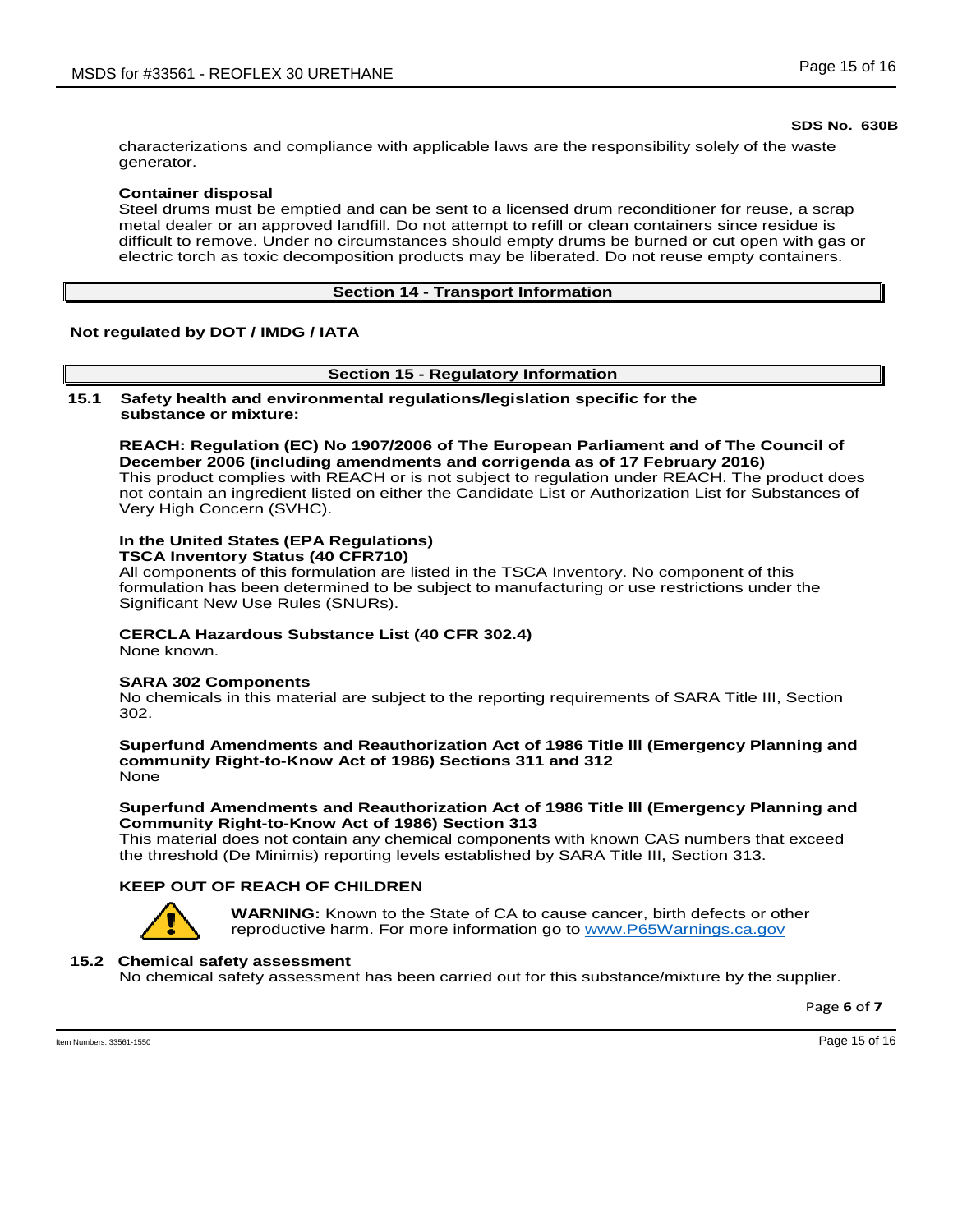characterizations and compliance with applicable laws are the responsibility solely of the waste generator.

### **Container disposal**

Steel drums must be emptied and can be sent to a licensed drum reconditioner for reuse, a scrap metal dealer or an approved landfill. Do not attempt to refill or clean containers since residue is difficult to remove. Under no circumstances should empty drums be burned or cut open with gas or electric torch as toxic decomposition products may be liberated. Do not reuse empty containers.

### **Section 14 - Transport Information**

### **Not regulated by DOT / IMDG / IATA**

### **Section 15 - Regulatory Information**

**15.1 Safety health and environmental regulations/legislation specific for the substance or mixture:**

**REACH: Regulation (EC) No 1907/2006 of The European Parliament and of The Council of December 2006 (including amendments and corrigenda as of 17 February 2016)** This product complies with REACH or is not subject to regulation under REACH. The product does not contain an ingredient listed on either the Candidate List or Authorization List for Substances of Very High Concern (SVHC).

### **In the United States (EPA Regulations)**

**TSCA Inventory Status (40 CFR710)**

All components of this formulation are listed in the TSCA Inventory. No component of this formulation has been determined to be subject to manufacturing or use restrictions under the Significant New Use Rules (SNURs).

### **CERCLA Hazardous Substance List (40 CFR 302.4)**

None known.

#### **SARA 302 Components**

No chemicals in this material are subject to the reporting requirements of SARA Title III, Section 302.

**Superfund Amendments and Reauthorization Act of 1986 Title lll (Emergency Planning and community Right-to-Know Act of 1986) Sections 311 and 312** None

### **Superfund Amendments and Reauthorization Act of 1986 Title lll (Emergency Planning and Community Right-to-Know Act of 1986) Section 313**

This material does not contain any chemical components with known CAS numbers that exceed the threshold (De Minimis) reporting levels established by SARA Title III, Section 313.

### **KEEP OUT OF REACH OF CHILDREN**



**WARNING:** Known to the State of CA to cause cancer, birth defects or other reproductive harm. For more information go to www.P65Warnings.ca.gov

### **15.2 Chemical safety assessment**

No chemical safety assessment has been carried out for this substance/mixture by the supplier.

Page **6** of **7**